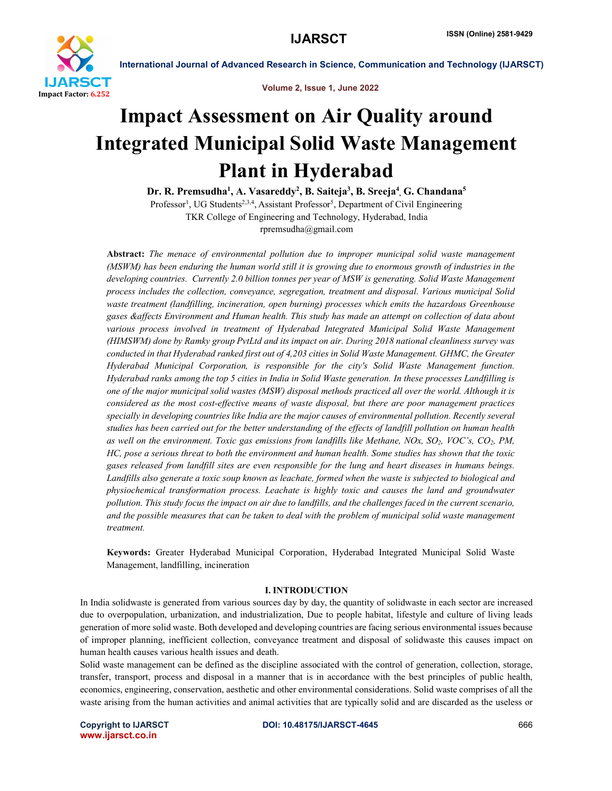

Volume 2, Issue 1, June 2022

# Impact Assessment on Air Quality around Integrated Municipal Solid Waste Management Plant in Hyderabad

Dr. R. Premsudha<sup>1</sup>, A. Vasareddy<sup>2</sup>, B. Saiteja<sup>3</sup>, B. Sreeja<sup>4</sup>, G. Chandana<sup>5</sup>

Professor<sup>1</sup>, UG Students<sup>2,3,4</sup>, Assistant Professor<sup>5</sup>, Department of Civil Engineering TKR College of Engineering and Technology, Hyderabad, India rpremsudha@gmail.com

Abstract: *The menace of environmental pollution due to improper municipal solid waste management (MSWM) has been enduring the human world still it is growing due to enormous growth of industries in the developing countries. Currently 2.0 billion tonnes per year of MSW is generating. Solid Waste Management process includes the collection, conveyance, segregation, treatment and disposal. Various municipal Solid waste treatment (landfilling, incineration, open burning) processes which emits the hazardous Greenhouse gases &affects Environment and Human health. This study has made an attempt on collection of data about*  various process involved in treatment of Hyderabad Integrated Municipal Solid Waste Management *(HIMSWM) done by Ramky group PvtLtd and its impact on air. During 2018 national cleanliness survey was conducted in that Hyderabad ranked first out of 4,203 cities in Solid Waste Management. GHMC, the Greater Hyderabad Municipal Corporation, is responsible for the city's Solid Waste Management function. Hyderabad ranks among the top 5 cities in India in Solid Waste generation. In these processes Landfilling is one of the major municipal solid wastes (MSW) disposal methods practiced all over the world. Although it is considered as the most cost-effective means of waste disposal, but there are poor management practices specially in developing countries like India are the major causes of environmental pollution. Recently several studies has been carried out for the better understanding of the effects of landfill pollution on human health as well on the environment. Toxic gas emissions from landfills like Methane, NOx, SO2, VOC's, CO2, PM, HC, pose a serious threat to both the environment and human health. Some studies has shown that the toxic gases released from landfill sites are even responsible for the lung and heart diseases in humans beings. Landfills also generate a toxic soup known as leachate, formed when the waste is subjected to biological and physiochemical transformation process. Leachate is highly toxic and causes the land and groundwater pollution. This study focus the impact on air due to landfills, and the challenges faced in the current scenario, and the possible measures that can be taken to deal with the problem of municipal solid waste management treatment.*

Keywords: Greater Hyderabad Municipal Corporation, Hyderabad Integrated Municipal Solid Waste Management, landfilling, incineration

### I. INTRODUCTION

In India solidwaste is generated from various sources day by day, the quantity of solidwaste in each sector are increased due to overpopulation, urbanization, and industrialization, Due to people habitat, lifestyle and culture of living leads generation of more solid waste. Both developed and developing countries are facing serious environmental issues because of improper planning, inefficient collection, conveyance treatment and disposal of solidwaste this causes impact on human health causes various health issues and death.

Solid waste management can be defined as the discipline associated with the control of generation, collection, storage, transfer, transport, process and disposal in a manner that is in accordance with the best principles of public health, economics, engineering, conservation, aesthetic and other environmental considerations. Solid waste comprises of all the waste arising from the human activities and animal activities that are typically solid and are discarded as the useless or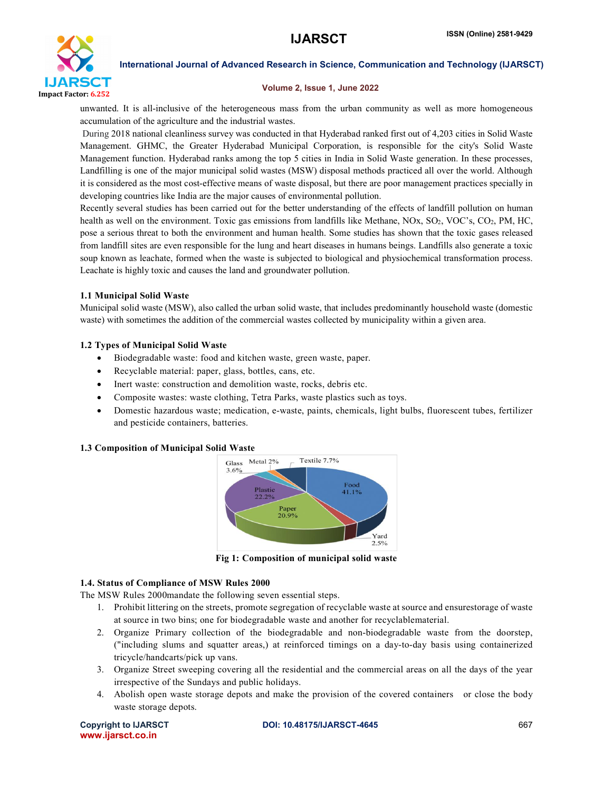

#### Volume 2, Issue 1, June 2022

unwanted. It is all-inclusive of the heterogeneous mass from the urban community as well as more homogeneous accumulation of the agriculture and the industrial wastes.

During 2018 national cleanliness survey was conducted in that Hyderabad ranked first out of 4,203 cities in Solid Waste Management. GHMC, the Greater Hyderabad Municipal Corporation, is responsible for the city's Solid Waste Management function. Hyderabad ranks among the top 5 cities in India in Solid Waste generation. In these processes, Landfilling is one of the major municipal solid wastes (MSW) disposal methods practiced all over the world. Although it is considered as the most cost-effective means of waste disposal, but there are poor management practices specially in developing countries like India are the major causes of environmental pollution.

Recently several studies has been carried out for the better understanding of the effects of landfill pollution on human health as well on the environment. Toxic gas emissions from landfills like Methane, NOx, SO<sub>2</sub>, VOC's, CO<sub>2</sub>, PM, HC, pose a serious threat to both the environment and human health. Some studies has shown that the toxic gases released from landfill sites are even responsible for the lung and heart diseases in humans beings. Landfills also generate a toxic soup known as leachate, formed when the waste is subjected to biological and physiochemical transformation process. Leachate is highly toxic and causes the land and groundwater pollution.

# 1.1 Municipal Solid Waste

Municipal solid waste (MSW), also called the urban solid waste, that includes predominantly household waste (domestic waste) with sometimes the addition of the commercial wastes collected by municipality within a given area.

# 1.2 Types of Municipal Solid Waste

- Biodegradable waste: food and kitchen waste, green waste, paper.
- Recyclable material: paper, glass, bottles, cans, etc.
- Inert waste: construction and demolition waste, rocks, debris etc.
- Composite wastes: waste clothing, Tetra Parks, waste plastics such as toys.
- Domestic hazardous waste; medication, e-waste, paints, chemicals, light bulbs, fluorescent tubes, fertilizer and pesticide containers, batteries.

### 1.3 Composition of Municipal Solid Waste



Fig 1: Composition of municipal solid waste

# 1.4. Status of Compliance of MSW Rules 2000

The MSW Rules 2000mandate the following seven essential steps.

- 1. Prohibit littering on the streets, promote segregation of recyclable waste at source and ensurestorage of waste at source in two bins; one for biodegradable waste and another for recyclablematerial.
- 2. Organize Primary collection of the biodegradable and non-biodegradable waste from the doorstep, ("including slums and squatter areas,) at reinforced timings on a day-to-day basis using containerized tricycle/handcarts/pick up vans.
- 3. Organize Street sweeping covering all the residential and the commercial areas on all the days of the year irrespective of the Sundays and public holidays.
- 4. Abolish open waste storage depots and make the provision of the covered containers or close the body waste storage depots.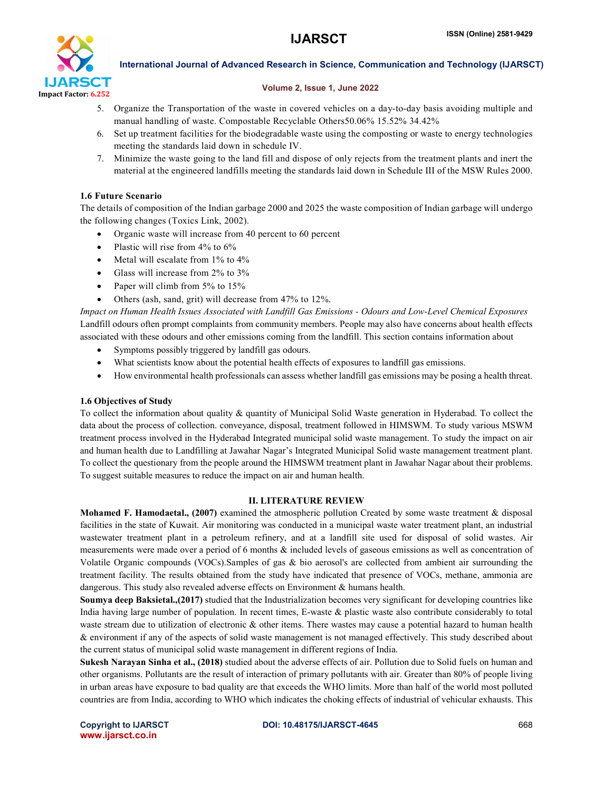

### Volume 2, Issue 1, June 2022

- 5. Organize the Transportation of the waste in covered vehicles on a day-to-day basis avoiding multiple and manual handling of waste. Compostable Recyclable Others50.06% 15.52% 34.42%
- 6. Set up treatment facilities for the biodegradable waste using the composting or waste to energy technologies meeting the standards laid down in schedule IV.
- 7. Minimize the waste going to the land fill and dispose of only rejects from the treatment plants and inert the material at the engineered landfills meeting the standards laid down in Schedule III of the MSW Rules 2000.

# 1.6 Future Scenario

The details of composition of the Indian garbage 2000 and 2025 the waste composition of Indian garbage will undergo the following changes (Toxics Link, 2002).

- Organic waste will increase from 40 percent to 60 percent
- Plastic will rise from  $4\%$  to  $6\%$
- Metal will escalate from 1% to 4%
- Glass will increase from 2% to 3%
- Paper will climb from 5% to 15%
- Others (ash, sand, grit) will decrease from 47% to 12%.

*Impact on Human Health Issues Associated with Landfill Gas Emissions - Odours and Low-Level Chemical Exposures* Landfill odours often prompt complaints from community members. People may also have concerns about health effects associated with these odours and other emissions coming from the landfill. This section contains information about

- Symptoms possibly triggered by landfill gas odours.
- What scientists know about the potential health effects of exposures to landfill gas emissions.
- How environmental health professionals can assess whether landfill gas emissions may be posing a health threat.

# 1.6 Objectives of Study

To collect the information about quality & quantity of Municipal Solid Waste generation in Hyderabad. To collect the data about the process of collection. conveyance, disposal, treatment followed in HIMSWM. To study various MSWM treatment process involved in the Hyderabad Integrated municipal solid waste management. To study the impact on air and human health due to Landfilling at Jawahar Nagar's Integrated Municipal Solid waste management treatment plant. To collect the questionary from the people around the HIMSWM treatment plant in Jawahar Nagar about their problems. To suggest suitable measures to reduce the impact on air and human health.

### II. LITERATURE REVIEW

Mohamed F. Hamodaetal., (2007) examined the atmospheric pollution Created by some waste treatment & disposal facilities in the state of Kuwait. Air monitoring was conducted in a municipal waste water treatment plant, an industrial wastewater treatment plant in a petroleum refinery, and at a landfill site used for disposal of solid wastes. Air measurements were made over a period of 6 months & included levels of gaseous emissions as well as concentration of Volatile Organic compounds (VOCs).Samples of gas & bio aerosol's are collected from ambient air surrounding the treatment facility. The results obtained from the study have indicated that presence of VOCs, methane, ammonia are dangerous. This study also revealed adverse effects on Environment & humans health.

Soumya deep Baksietal.,(2017) studied that the Industrialization becomes very significant for developing countries like India having large number of population. In recent times, E-waste & plastic waste also contribute considerably to total waste stream due to utilization of electronic & other items. There wastes may cause a potential hazard to human health & environment if any of the aspects of solid waste management is not managed effectively. This study described about the current status of municipal solid waste management in different regions of India.

Sukesh Narayan Sinha et al., (2018) studied about the adverse effects of air. Pollution due to Solid fuels on human and other organisms. Pollutants are the result of interaction of primary pollutants with air. Greater than 80% of people living in urban areas have exposure to bad quality are that exceeds the WHO limits. More than half of the world most polluted countries are from India, according to WHO which indicates the choking effects of industrial of vehicular exhausts. This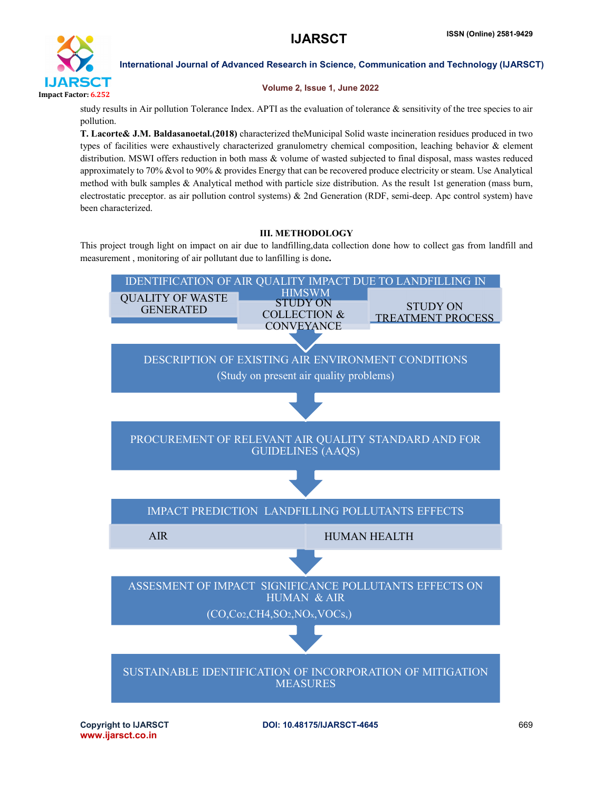

# Volume 2, Issue 1, June 2022

study results in Air pollution Tolerance Index. APTI as the evaluation of tolerance  $\&$  sensitivity of the tree species to air pollution.

T. Lacorte& J.M. Baldasanoetal.(2018) characterized theMunicipal Solid waste incineration residues produced in two types of facilities were exhaustively characterized granulometry chemical composition, leaching behavior & element distribution. MSWI offers reduction in both mass & volume of wasted subjected to final disposal, mass wastes reduced approximately to 70% &vol to 90% & provides Energy that can be recovered produce electricity or steam. Use Analytical method with bulk samples & Analytical method with particle size distribution. As the result 1st generation (mass burn, electrostatic preceptor. as air pollution control systems) & 2nd Generation (RDF, semi-deep. Apc control system) have been characterized.

# III. METHODOLOGY

This project trough light on impact on air due to landfilling,data collection done how to collect gas from landfill and measurement , monitoring of air pollutant due to lanfilling is done.

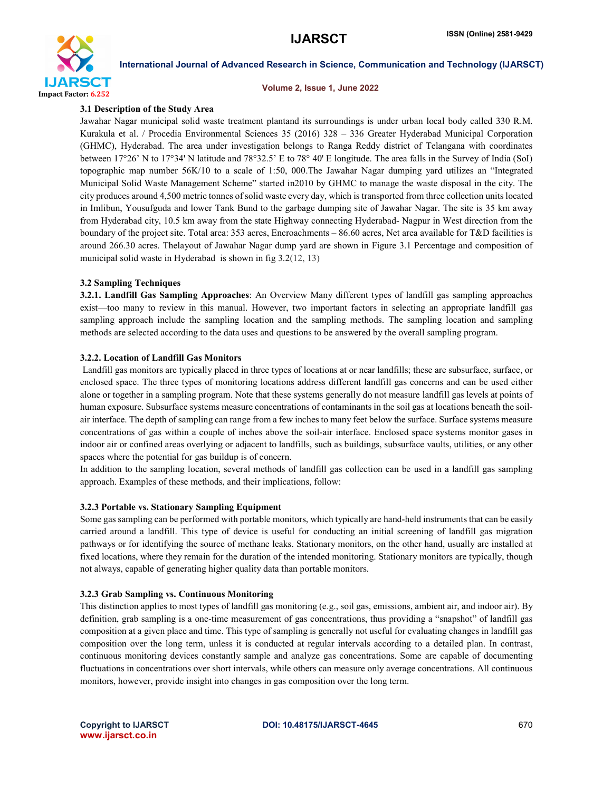

#### Volume 2, Issue 1, June 2022

### 3.1 Description of the Study Area

Jawahar Nagar municipal solid waste treatment plantand its surroundings is under urban local body called 330 R.M. Kurakula et al. / Procedia Environmental Sciences 35 (2016) 328 – 336 Greater Hyderabad Municipal Corporation (GHMC), Hyderabad. The area under investigation belongs to Ranga Reddy district of Telangana with coordinates between 17°26' N to 17°34' N latitude and 78°32.5' E to 78° 40' E longitude. The area falls in the Survey of India (SoI) topographic map number 56K/10 to a scale of 1:50, 000.The Jawahar Nagar dumping yard utilizes an "Integrated Municipal Solid Waste Management Scheme" started in2010 by GHMC to manage the waste disposal in the city. The city produces around 4,500 metric tonnes of solid waste every day, which is transported from three collection units located in Imlibun, Yousufguda and lower Tank Bund to the garbage dumping site of Jawahar Nagar. The site is 35 km away from Hyderabad city, 10.5 km away from the state Highway connecting Hyderabad- Nagpur in West direction from the boundary of the project site. Total area: 353 acres, Encroachments – 86.60 acres, Net area available for T&D facilities is around 266.30 acres. Thelayout of Jawahar Nagar dump yard are shown in Figure 3.1 Percentage and composition of municipal solid waste in Hyderabad is shown in fig 3.2(12, 13)

# 3.2 Sampling Techniques

3.2.1. Landfill Gas Sampling Approaches: An Overview Many different types of landfill gas sampling approaches exist—too many to review in this manual. However, two important factors in selecting an appropriate landfill gas sampling approach include the sampling location and the sampling methods. The sampling location and sampling methods are selected according to the data uses and questions to be answered by the overall sampling program.

### 3.2.2. Location of Landfill Gas Monitors

Landfill gas monitors are typically placed in three types of locations at or near landfills; these are subsurface, surface, or enclosed space. The three types of monitoring locations address different landfill gas concerns and can be used either alone or together in a sampling program. Note that these systems generally do not measure landfill gas levels at points of human exposure. Subsurface systems measure concentrations of contaminants in the soil gas at locations beneath the soilair interface. The depth of sampling can range from a few inches to many feet below the surface. Surface systems measure concentrations of gas within a couple of inches above the soil-air interface. Enclosed space systems monitor gases in indoor air or confined areas overlying or adjacent to landfills, such as buildings, subsurface vaults, utilities, or any other spaces where the potential for gas buildup is of concern.

In addition to the sampling location, several methods of landfill gas collection can be used in a landfill gas sampling approach. Examples of these methods, and their implications, follow:

### 3.2.3 Portable vs. Stationary Sampling Equipment

Some gas sampling can be performed with portable monitors, which typically are hand-held instruments that can be easily carried around a landfill. This type of device is useful for conducting an initial screening of landfill gas migration pathways or for identifying the source of methane leaks. Stationary monitors, on the other hand, usually are installed at fixed locations, where they remain for the duration of the intended monitoring. Stationary monitors are typically, though not always, capable of generating higher quality data than portable monitors.

#### 3.2.3 Grab Sampling vs. Continuous Monitoring

This distinction applies to most types of landfill gas monitoring (e.g., soil gas, emissions, ambient air, and indoor air). By definition, grab sampling is a one-time measurement of gas concentrations, thus providing a "snapshot" of landfill gas composition at a given place and time. This type of sampling is generally not useful for evaluating changes in landfill gas composition over the long term, unless it is conducted at regular intervals according to a detailed plan. In contrast, continuous monitoring devices constantly sample and analyze gas concentrations. Some are capable of documenting fluctuations in concentrations over short intervals, while others can measure only average concentrations. All continuous monitors, however, provide insight into changes in gas composition over the long term.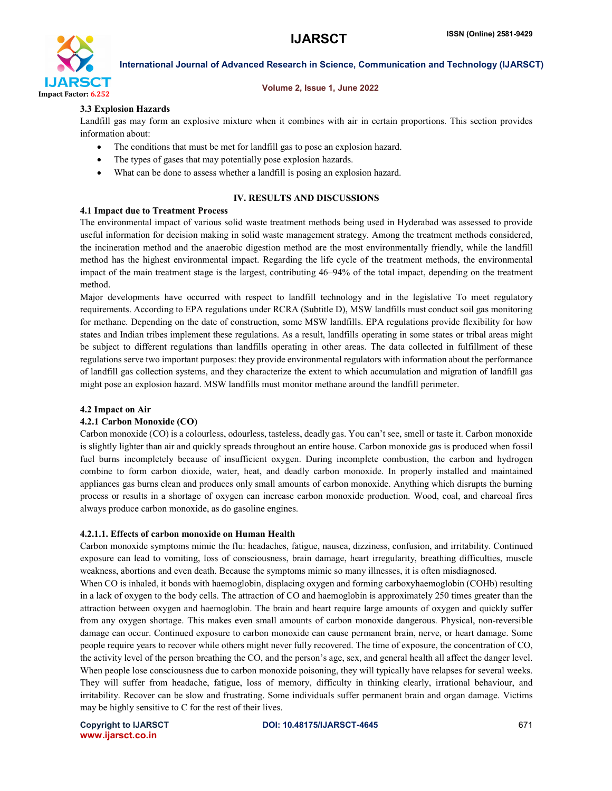

#### Volume 2, Issue 1, June 2022

# 3.3 Explosion Hazards

Landfill gas may form an explosive mixture when it combines with air in certain proportions. This section provides information about:

- The conditions that must be met for landfill gas to pose an explosion hazard.
- The types of gases that may potentially pose explosion hazards.
- What can be done to assess whether a landfill is posing an explosion hazard.

# IV. RESULTS AND DISCUSSIONS

### 4.1 Impact due to Treatment Process

The environmental impact of various solid waste treatment methods being used in Hyderabad was assessed to provide useful information for decision making in solid waste management strategy. Among the treatment methods considered, the incineration method and the anaerobic digestion method are the most environmentally friendly, while the landfill method has the highest environmental impact. Regarding the life cycle of the treatment methods, the environmental impact of the main treatment stage is the largest, contributing 46–94% of the total impact, depending on the treatment method.

Major developments have occurred with respect to landfill technology and in the legislative To meet regulatory requirements. According to EPA regulations under RCRA (Subtitle D), MSW landfills must conduct soil gas monitoring for methane. Depending on the date of construction, some MSW landfills. EPA regulations provide flexibility for how states and Indian tribes implement these regulations. As a result, landfills operating in some states or tribal areas might be subject to different regulations than landfills operating in other areas. The data collected in fulfillment of these regulations serve two important purposes: they provide environmental regulators with information about the performance of landfill gas collection systems, and they characterize the extent to which accumulation and migration of landfill gas might pose an explosion hazard. MSW landfills must monitor methane around the landfill perimeter.

### 4.2 Impact on Air

### 4.2.1 Carbon Monoxide (CO)

Carbon monoxide (CO) is a colourless, odourless, tasteless, deadly gas. You can't see, smell or taste it. Carbon monoxide is slightly lighter than air and quickly spreads throughout an entire house. Carbon monoxide gas is produced when fossil fuel burns incompletely because of insufficient oxygen. During incomplete combustion, the carbon and hydrogen combine to form carbon dioxide, water, heat, and deadly carbon monoxide. In properly installed and maintained appliances gas burns clean and produces only small amounts of carbon monoxide. Anything which disrupts the burning process or results in a shortage of oxygen can increase carbon monoxide production. Wood, coal, and charcoal fires always produce carbon monoxide, as do gasoline engines.

### 4.2.1.1. Effects of carbon monoxide on Human Health

Carbon monoxide symptoms mimic the flu: headaches, fatigue, nausea, dizziness, confusion, and irritability. Continued exposure can lead to vomiting, loss of consciousness, brain damage, heart irregularity, breathing difficulties, muscle weakness, abortions and even death. Because the symptoms mimic so many illnesses, it is often misdiagnosed.

When CO is inhaled, it bonds with haemoglobin, displacing oxygen and forming carboxyhaemoglobin (COHb) resulting in a lack of oxygen to the body cells. The attraction of CO and haemoglobin is approximately 250 times greater than the attraction between oxygen and haemoglobin. The brain and heart require large amounts of oxygen and quickly suffer from any oxygen shortage. This makes even small amounts of carbon monoxide dangerous. Physical, non-reversible damage can occur. Continued exposure to carbon monoxide can cause permanent brain, nerve, or heart damage. Some people require years to recover while others might never fully recovered. The time of exposure, the concentration of CO, the activity level of the person breathing the CO, and the person's age, sex, and general health all affect the danger level. When people lose consciousness due to carbon monoxide poisoning, they will typically have relapses for several weeks. They will suffer from headache, fatigue, loss of memory, difficulty in thinking clearly, irrational behaviour, and irritability. Recover can be slow and frustrating. Some individuals suffer permanent brain and organ damage. Victims may be highly sensitive to C for the rest of their lives.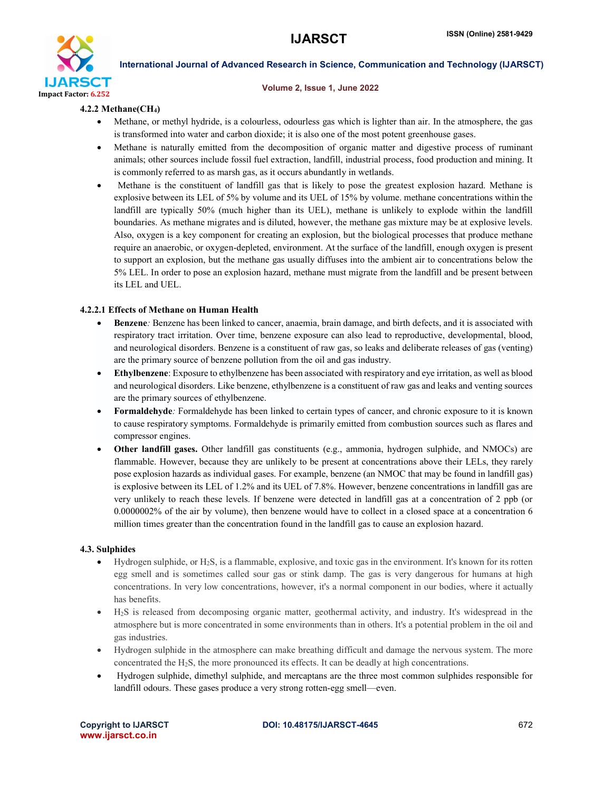

#### Volume 2, Issue 1, June 2022

## 4.2.2 Methane(CH4)

- Methane, or methyl hydride, is a colourless, odourless gas which is lighter than air. In the atmosphere, the gas is transformed into water and carbon dioxide; it is also one of the most potent greenhouse gases.
- Methane is naturally emitted from the decomposition of organic matter and digestive process of ruminant animals; other sources include fossil fuel extraction, landfill, industrial process, food production and mining. It is commonly referred to as marsh gas, as it occurs abundantly in wetlands.
- Methane is the constituent of landfill gas that is likely to pose the greatest explosion hazard. Methane is explosive between its LEL of 5% by volume and its UEL of 15% by volume. methane concentrations within the landfill are typically 50% (much higher than its UEL), methane is unlikely to explode within the landfill boundaries. As methane migrates and is diluted, however, the methane gas mixture may be at explosive levels. Also, oxygen is a key component for creating an explosion, but the biological processes that produce methane require an anaerobic, or oxygen-depleted, environment. At the surface of the landfill, enough oxygen is present to support an explosion, but the methane gas usually diffuses into the ambient air to concentrations below the 5% LEL. In order to pose an explosion hazard, methane must migrate from the landfill and be present between its LEL and UEL.

# 4.2.2.1 Effects of Methane on Human Health

- Benzene*:* Benzene has been linked to cancer, anaemia, brain damage, and birth defects, and it is associated with respiratory tract irritation. Over time, benzene exposure can also lead to reproductive, developmental, blood, and neurological disorders. Benzene is a constituent of raw gas, so leaks and deliberate releases of gas (venting) are the primary source of benzene pollution from the oil and gas industry.
- Ethylbenzene: Exposure to ethylbenzene has been associated with respiratory and eye irritation, as well as blood and neurological disorders. Like benzene, ethylbenzene is a constituent of raw gas and leaks and venting sources are the primary sources of ethylbenzene.
- Formaldehyde*:* Formaldehyde has been linked to certain types of cancer, and chronic exposure to it is known to cause respiratory symptoms. Formaldehyde is primarily emitted from combustion sources such as flares and compressor engines.
- Other landfill gases. Other landfill gas constituents (e.g., ammonia, hydrogen sulphide, and NMOCs) are flammable. However, because they are unlikely to be present at concentrations above their LELs, they rarely pose explosion hazards as individual gases. For example, benzene (an NMOC that may be found in landfill gas) is explosive between its LEL of 1.2% and its UEL of 7.8%. However, benzene concentrations in landfill gas are very unlikely to reach these levels. If benzene were detected in landfill gas at a concentration of 2 ppb (or 0.0000002% of the air by volume), then benzene would have to collect in a closed space at a concentration 6 million times greater than the concentration found in the landfill gas to cause an explosion hazard.

### 4.3. Sulphides

- $\bullet$  Hydrogen sulphide, or H<sub>2</sub>S, is a flammable, explosive, and toxic gas in the environment. It's known for its rotten egg smell and is sometimes called sour gas or stink damp. The gas is very dangerous for humans at high concentrations. In very low concentrations, however, it's a normal component in our bodies, where it actually has benefits.
- H2S is released from decomposing organic matter, geothermal activity, and industry. It's widespread in the atmosphere but is more concentrated in some environments than in others. It's a potential problem in the oil and gas industries.
- Hydrogen sulphide in the atmosphere can make breathing difficult and damage the nervous system. The more concentrated the H2S, the more pronounced its effects. It can be deadly at high concentrations.
- Hydrogen sulphide, dimethyl sulphide, and mercaptans are the three most common sulphides responsible for landfill odours. These gases produce a very strong rotten-egg smell—even.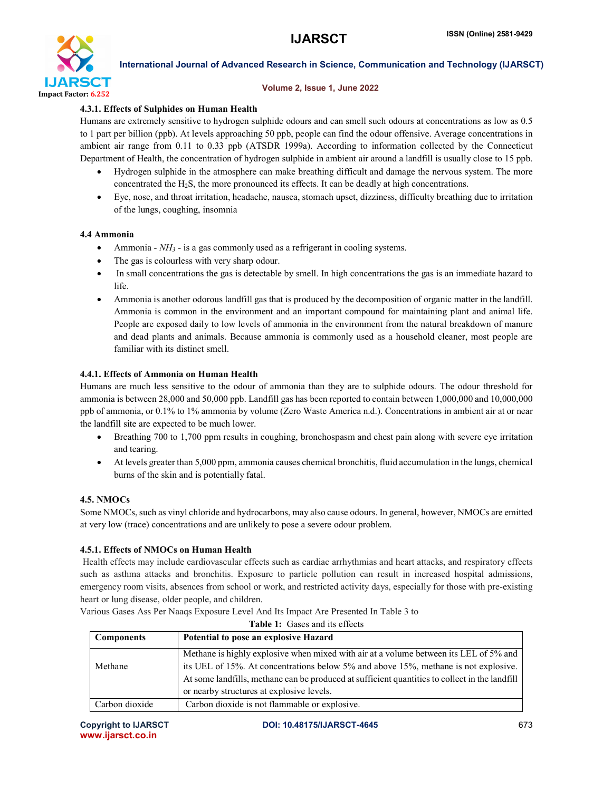

### Volume 2, Issue 1, June 2022

# 4.3.1. Effects of Sulphides on Human Health

Humans are extremely sensitive to hydrogen sulphide odours and can smell such odours at concentrations as low as 0.5 to 1 part per billion (ppb). At levels approaching 50 ppb, people can find the odour offensive. Average concentrations in ambient air range from 0.11 to 0.33 ppb (ATSDR 1999a). According to information collected by the Connecticut Department of Health, the concentration of hydrogen sulphide in ambient air around a landfill is usually close to 15 ppb.

- Hydrogen sulphide in the atmosphere can make breathing difficult and damage the nervous system. The more concentrated the H2S, the more pronounced its effects. It can be deadly at high concentrations.
- Eye, nose, and throat irritation, headache, nausea, stomach upset, dizziness, difficulty breathing due to irritation of the lungs, coughing, insomnia

# 4.4 Ammonia

- Ammonia *NH3* is a gas commonly used as a refrigerant in cooling systems.
- The gas is colourless with very sharp odour.
- In small concentrations the gas is detectable by smell. In high concentrations the gas is an immediate hazard to life.
- Ammonia is another odorous landfill gas that is produced by the decomposition of organic matter in the landfill. Ammonia is common in the environment and an important compound for maintaining plant and animal life. People are exposed daily to low levels of ammonia in the environment from the natural breakdown of manure and dead plants and animals. Because ammonia is commonly used as a household cleaner, most people are familiar with its distinct smell.

# 4.4.1. Effects of Ammonia on Human Health

Humans are much less sensitive to the odour of ammonia than they are to sulphide odours. The odour threshold for ammonia is between 28,000 and 50,000 ppb. Landfill gas has been reported to contain between 1,000,000 and 10,000,000 ppb of ammonia, or 0.1% to 1% ammonia by volume (Zero Waste America n.d.). Concentrations in ambient air at or near the landfill site are expected to be much lower.

- Breathing 700 to 1,700 ppm results in coughing, bronchospasm and chest pain along with severe eye irritation and tearing.
- At levels greater than 5,000 ppm, ammonia causes chemical bronchitis, fluid accumulation in the lungs, chemical burns of the skin and is potentially fatal.

# 4.5. NMOCs

Some NMOCs, such as vinyl chloride and hydrocarbons, may also cause odours. In general, however, NMOCs are emitted at very low (trace) concentrations and are unlikely to pose a severe odour problem.

# 4.5.1. Effects of NMOCs on Human Health

Health effects may include cardiovascular effects such as cardiac arrhythmias and heart attacks, and respiratory effects such as asthma attacks and bronchitis. Exposure to particle pollution can result in increased hospital admissions, emergency room visits, absences from school or work, and restricted activity days, especially for those with pre-existing heart or lung disease, older people, and children.

| <b>Table 1:</b> Gases and its effects |                                                                                                |  |  |  |
|---------------------------------------|------------------------------------------------------------------------------------------------|--|--|--|
| <b>Components</b>                     | Potential to pose an explosive Hazard                                                          |  |  |  |
|                                       | Methane is highly explosive when mixed with air at a volume between its LEL of 5% and          |  |  |  |
| Methane                               | its UEL of 15%. At concentrations below 5% and above 15%, methane is not explosive.            |  |  |  |
|                                       | At some landfills, methane can be produced at sufficient quantities to collect in the landfill |  |  |  |
|                                       | or nearby structures at explosive levels.                                                      |  |  |  |
| Carbon dioxide                        | Carbon dioxide is not flammable or explosive.                                                  |  |  |  |

Various Gases Ass Per Naaqs Exposure Level And Its Impact Are Presented In Table 3 to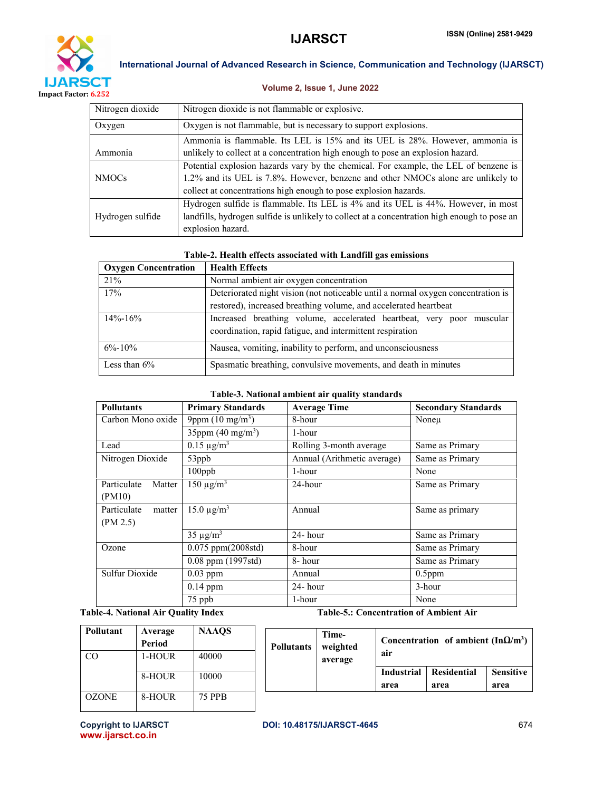



# Volume 2, Issue 1, June 2022

| Nitrogen dioxide | Nitrogen dioxide is not flammable or explosive.                                              |
|------------------|----------------------------------------------------------------------------------------------|
| Oxygen           | Oxygen is not flammable, but is necessary to support explosions.                             |
|                  | Ammonia is flammable. Its LEL is 15% and its UEL is 28%. However, ammonia is                 |
| Ammonia          | unlikely to collect at a concentration high enough to pose an explosion hazard.              |
|                  | Potential explosion hazards vary by the chemical. For example, the LEL of benzene is         |
| <b>NMOCs</b>     | 1.2% and its UEL is 7.8%. However, benzene and other NMOCs alone are unlikely to             |
|                  | collect at concentrations high enough to pose explosion hazards.                             |
|                  | Hydrogen sulfide is flammable. Its LEL is 4% and its UEL is 44%. However, in most            |
| Hydrogen sulfide | landfills, hydrogen sulfide is unlikely to collect at a concentration high enough to pose an |
|                  | explosion hazard.                                                                            |

# Table-2. Health effects associated with Landfill gas emissions

| <b>Oxygen Concentration</b> | <b>Health Effects</b>                                                                                                              |  |  |  |  |  |  |  |
|-----------------------------|------------------------------------------------------------------------------------------------------------------------------------|--|--|--|--|--|--|--|
| 21%                         | Normal ambient air oxygen concentration                                                                                            |  |  |  |  |  |  |  |
| 17%                         | Deteriorated night vision (not noticeable until a normal oxygen concentration is                                                   |  |  |  |  |  |  |  |
|                             | restored), increased breathing volume, and accelerated heartbeat                                                                   |  |  |  |  |  |  |  |
| $14\% - 16\%$               | Increased breathing volume, accelerated heartbeat, very poor muscular<br>coordination, rapid fatigue, and intermittent respiration |  |  |  |  |  |  |  |
| $6\% - 10\%$                | Nausea, vomiting, inability to perform, and unconsciousness                                                                        |  |  |  |  |  |  |  |
| Less than $6\%$             | Spasmatic breathing, convulsive movements, and death in minutes                                                                    |  |  |  |  |  |  |  |

# Table-3. National ambient air quality standards

| <b>Pollutants</b>     | <b>Primary Standards</b>        | <b>Average Time</b>         | <b>Secondary Standards</b> |  |
|-----------------------|---------------------------------|-----------------------------|----------------------------|--|
| Carbon Mono oxide     | 9ppm $(10 \text{ mg/m}^3)$      | 8-hour                      | Noneu                      |  |
|                       | 35ppm $(40 \text{ mg/m}^3)$     | 1-hour                      |                            |  |
| Lead                  | $0.15 \mu g/m^3$                | Rolling 3-month average     | Same as Primary            |  |
| Nitrogen Dioxide      | 53ppb                           | Annual (Arithmetic average) | Same as Primary            |  |
|                       | $100$ ppb                       | 1-hour                      | None                       |  |
| Particulate<br>Matter | $150 \mu g/m^3$                 | 24-hour                     | Same as Primary            |  |
| (PM10)                |                                 |                             |                            |  |
| Particulate<br>matter | $15.0 \,\mathrm{\mu g/m^3}$     | Annual                      | Same as primary            |  |
| (PM 2.5)              |                                 |                             |                            |  |
|                       | $35 \mu g/m^3$                  | $24$ - hour                 | Same as Primary            |  |
| Ozone                 | $0.075$ ppm $(2008 \text{std})$ | 8-hour                      | Same as Primary            |  |
|                       | $0.08$ ppm (1997std)            | 8-hour                      | Same as Primary            |  |
| Sulfur Dioxide        | $0.03$ ppm                      | Annual                      | $0.5$ ppm                  |  |
|                       | $0.14$ ppm                      | 24- hour                    | 3-hour                     |  |
|                       | 75 ppb                          | 1-hour                      | None                       |  |

Table-4. National Air Quality Index Table-5.: Concentration of Ambient Air

| Pollutant    | Average<br>Period | <b>NAAOS</b>  | <b>Pollutants</b> | Time-<br>weighted | Concentration of ambient $(InQ/m3)$ |                     |                          |
|--------------|-------------------|---------------|-------------------|-------------------|-------------------------------------|---------------------|--------------------------|
| CO           | 1-HOUR            | 40000         |                   | average           | air                                 |                     |                          |
|              | 8-HOUR            | 10000         |                   |                   | Industrial<br>area                  | Residential<br>area | <b>Sensitive</b><br>area |
| <b>OZONE</b> | 8-HOUR            | <b>75 PPB</b> |                   |                   |                                     |                     |                          |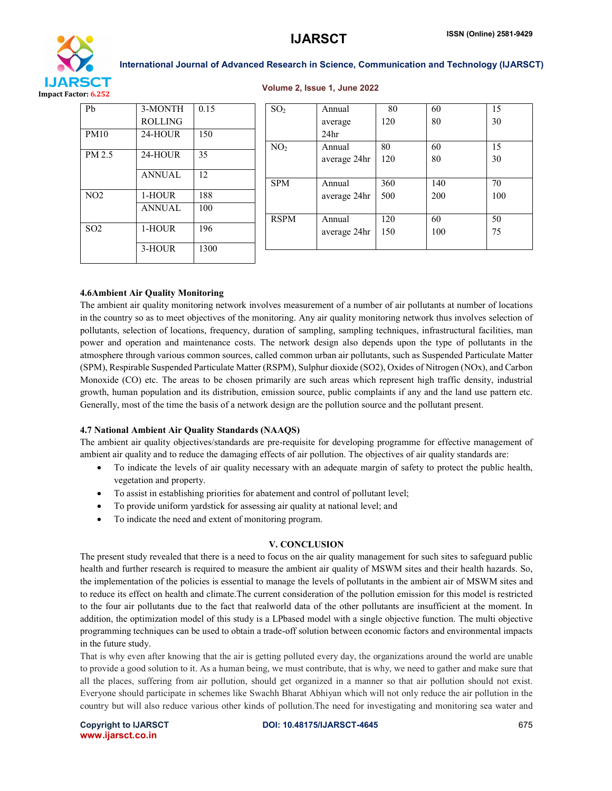

#### Volume 2, Issue 1, June 2022

| Pb              | 3-MONTH        | 0.15 | SO <sub>2</sub> | Annual           | 80  | 60  | 15  |
|-----------------|----------------|------|-----------------|------------------|-----|-----|-----|
|                 | <b>ROLLING</b> |      |                 | average          | 120 | 80  | 30  |
| PM10            | 24-HOUR        | 150  |                 | 24 <sub>hr</sub> |     |     |     |
|                 |                |      | NO <sub>2</sub> | Annual           | 80  | 60  | 15  |
| PM 2.5          | 24-HOUR        | 35   |                 | average 24hr     | 120 | 80  | 30  |
|                 | <b>ANNUAL</b>  | 12   |                 |                  |     |     |     |
|                 |                |      | <b>SPM</b>      | Annual           | 360 | 140 | 70  |
| NO <sub>2</sub> | 1-HOUR         | 188  |                 | average 24hr     | 500 | 200 | 100 |
|                 | <b>ANNUAL</b>  | 100  |                 |                  |     |     |     |
|                 |                |      | <b>RSPM</b>     | Annual           | 120 | 60  | 50  |
| SO <sub>2</sub> | 1-HOUR         | 196  |                 | average 24hr     | 150 | 100 | 75  |
|                 | 3-HOUR         | 1300 |                 |                  |     |     |     |
|                 |                |      |                 |                  |     |     |     |

### 4.6Ambient Air Quality Monitoring

The ambient air quality monitoring network involves measurement of a number of air pollutants at number of locations in the country so as to meet objectives of the monitoring. Any air quality monitoring network thus involves selection of pollutants, selection of locations, frequency, duration of sampling, sampling techniques, infrastructural facilities, man power and operation and maintenance costs. The network design also depends upon the type of pollutants in the atmosphere through various common sources, called common urban air pollutants, such as Suspended Particulate Matter (SPM), Respirable Suspended Particulate Matter (RSPM), Sulphur dioxide (SO2), Oxides of Nitrogen (NOx), and Carbon Monoxide (CO) etc. The areas to be chosen primarily are such areas which represent high traffic density, industrial growth, human population and its distribution, emission source, public complaints if any and the land use pattern etc. Generally, most of the time the basis of a network design are the pollution source and the pollutant present.

### 4.7 National Ambient Air Quality Standards (NAAQS)

The ambient air quality objectives/standards are pre-requisite for developing programme for effective management of ambient air quality and to reduce the damaging effects of air pollution. The objectives of air quality standards are:

- To indicate the levels of air quality necessary with an adequate margin of safety to protect the public health, vegetation and property.
- To assist in establishing priorities for abatement and control of pollutant level;
- To provide uniform yardstick for assessing air quality at national level; and
- To indicate the need and extent of monitoring program.

### V. CONCLUSION

The present study revealed that there is a need to focus on the air quality management for such sites to safeguard public health and further research is required to measure the ambient air quality of MSWM sites and their health hazards. So, the implementation of the policies is essential to manage the levels of pollutants in the ambient air of MSWM sites and to reduce its effect on health and climate.The current consideration of the pollution emission for this model is restricted to the four air pollutants due to the fact that realworld data of the other pollutants are insufficient at the moment. In addition, the optimization model of this study is a LPbased model with a single objective function. The multi objective programming techniques can be used to obtain a trade-off solution between economic factors and environmental impacts in the future study.

That is why even after knowing that the air is getting polluted every day, the organizations around the world are unable to provide a good solution to it. As a human being, we must contribute, that is why, we need to gather and make sure that all the places, suffering from air pollution, should get organized in a manner so that air pollution should not exist. Everyone should participate in schemes like Swachh Bharat Abhiyan which will not only reduce the air pollution in the country but will also reduce various other kinds of pollution.The need for investigating and monitoring sea water and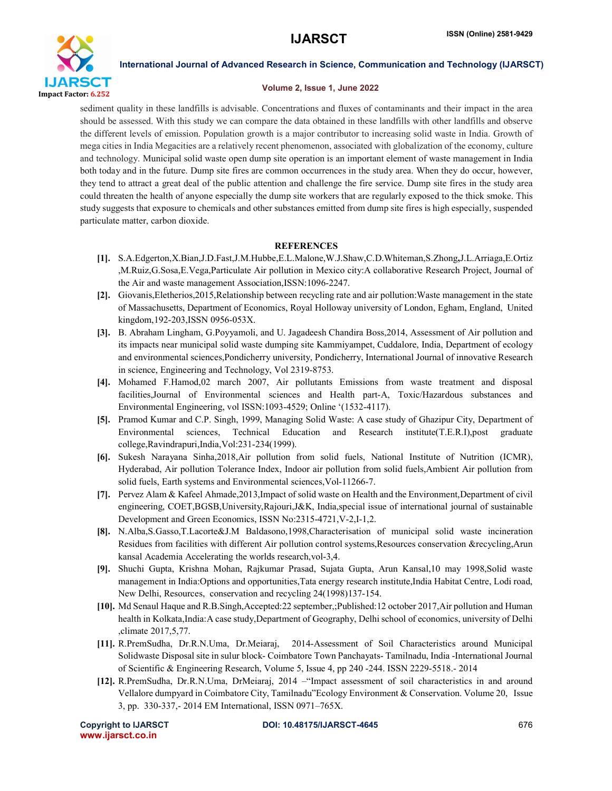

#### Volume 2, Issue 1, June 2022

sediment quality in these landfills is advisable. Concentrations and fluxes of contaminants and their impact in the area should be assessed. With this study we can compare the data obtained in these landfills with other landfills and observe the different levels of emission. Population growth is a major contributor to increasing solid waste in India. Growth of mega cities in India Megacities are a relatively recent phenomenon, associated with globalization of the economy, culture and technology. Municipal solid waste open dump site operation is an important element of waste management in India both today and in the future. Dump site fires are common occurrences in the study area. When they do occur, however, they tend to attract a great deal of the public attention and challenge the fire service. Dump site fires in the study area could threaten the health of anyone especially the dump site workers that are regularly exposed to the thick smoke. This study suggests that exposure to chemicals and other substances emitted from dump site fires is high especially, suspended particulate matter, carbon dioxide.

# **REFERENCES**

- [1]. S.A.Edgerton,X.Bian,J.D.Fast,J.M.Hubbe,E.L.Malone,W.J.Shaw,C.D.Whiteman,S.Zhong,J.L.Arriaga,E.Ortiz ,M.Ruiz,G.Sosa,E.Vega,Particulate Air pollution in Mexico city:A collaborative Research Project, Journal of the Air and waste management Association,ISSN:1096-2247.
- [2]. Giovanis,Eletherios,2015,Relationship between recycling rate and air pollution:Waste management in the state of Massachusetts, Department of Economics, Royal Holloway university of London, Egham, England, United kingdom,192-203,ISSN 0956-053X.
- [3]. B. Abraham Lingham, G.Poyyamoli, and U. Jagadeesh Chandira Boss,2014, Assessment of Air pollution and its impacts near municipal solid waste dumping site Kammiyampet, Cuddalore, India, Department of ecology and environmental sciences,Pondicherry university, Pondicherry, International Journal of innovative Research in science, Engineering and Technology, Vol 2319-8753.
- [4]. Mohamed F.Hamod,02 march 2007, Air pollutants Emissions from waste treatment and disposal facilities,Journal of Environmental sciences and Health part-A, Toxic/Hazardous substances and Environmental Engineering, vol ISSN:1093-4529; Online '(1532-4117).
- [5]. Pramod Kumar and C.P. Singh, 1999, Managing Solid Waste: A case study of Ghazipur City, Department of Environmental sciences, Technical Education and Research institute(T.E.R.I),post graduate college,Ravindrapuri,India,Vol:231-234(1999).
- [6]. Sukesh Narayana Sinha,2018,Air pollution from solid fuels, National Institute of Nutrition (ICMR), Hyderabad, Air pollution Tolerance Index, Indoor air pollution from solid fuels,Ambient Air pollution from solid fuels, Earth systems and Environmental sciences,Vol-11266-7.
- [7]. Pervez Alam & Kafeel Ahmade,2013,Impact of solid waste on Health and the Environment,Department of civil engineering, COET,BGSB,University,Rajouri,J&K, India, special issue of international journal of sustainable Development and Green Economics, ISSN No:2315-4721,V-2,I-1,2.
- [8]. N.Alba,S.Gasso,T.Lacorte&J.M Baldasono,1998,Characterisation of municipal solid waste incineration Residues from facilities with different Air pollution control systems,Resources conservation &recycling,Arun kansal Academia Accelerating the worlds research,vol-3,4.
- [9]. Shuchi Gupta, Krishna Mohan, Rajkumar Prasad, Sujata Gupta, Arun Kansal,10 may 1998,Solid waste management in India:Options and opportunities,Tata energy research institute,India Habitat Centre, Lodi road, New Delhi, Resources, conservation and recycling 24(1998)137-154.
- [10]. Md Senaul Haque and R.B.Singh,Accepted:22 september,;Published:12 october 2017,Air pollution and Human health in Kolkata,India:A case study,Department of Geography, Delhi school of economics, university of Delhi ,climate 2017,5,77.
- [11]. R.PremSudha, Dr.R.N.Uma, Dr.Meiaraj, 2014-Assessment of Soil Characteristics around Municipal Solidwaste Disposal site in sulur block- Coimbatore Town Panchayats- Tamilnadu, India -International Journal of Scientific & Engineering Research, Volume 5, Issue 4, pp 240 -244. ISSN 2229-5518.- 2014
- [12]. R.PremSudha, Dr.R.N.Uma, DrMeiaraj, 2014 –"Impact assessment of soil characteristics in and around Vellalore dumpyard in Coimbatore City, Tamilnadu"Ecology Environment & Conservation. Volume 20, Issue 3, pp. 330-337,- 2014 EM International, ISSN 0971–765X.